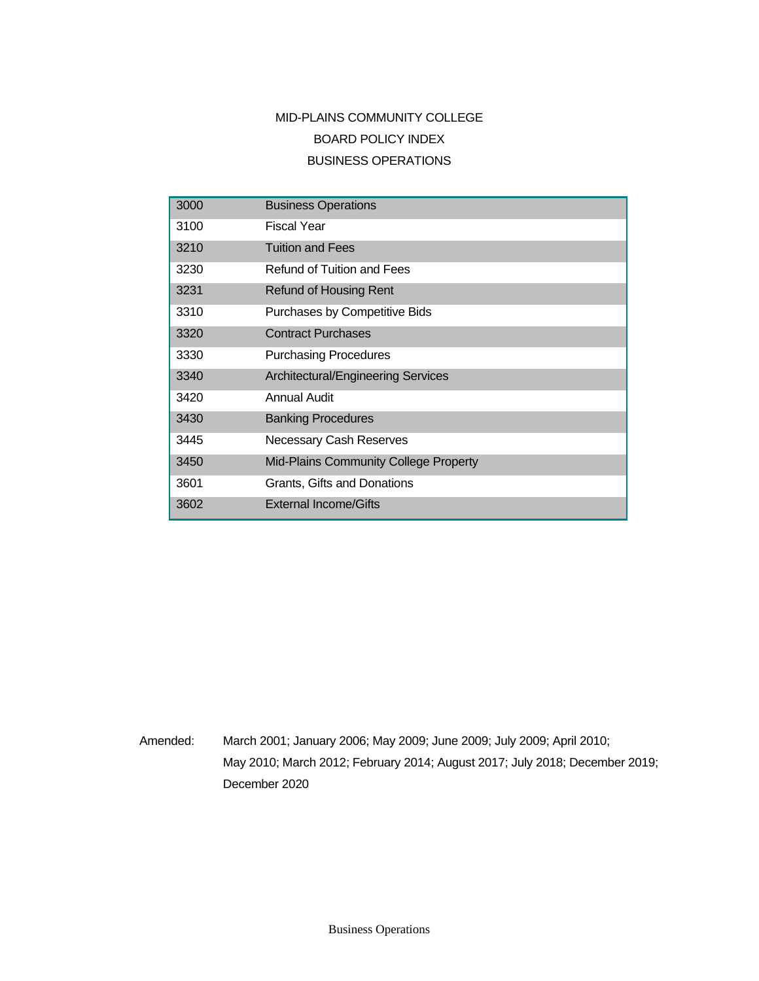# MID-PLAINS COMMUNITY COLLEGE BOARD POLICY INDEX BUSINESS OPERATIONS

| 3000 | <b>Business Operations</b>                   |
|------|----------------------------------------------|
| 3100 | <b>Fiscal Year</b>                           |
| 3210 | <b>Tuition and Fees</b>                      |
| 3230 | Refund of Tuition and Fees                   |
| 3231 | <b>Refund of Housing Rent</b>                |
| 3310 | Purchases by Competitive Bids                |
| 3320 | <b>Contract Purchases</b>                    |
| 3330 | <b>Purchasing Procedures</b>                 |
| 3340 | Architectural/Engineering Services           |
| 3420 | Annual Audit                                 |
| 3430 | <b>Banking Procedures</b>                    |
| 3445 | Necessary Cash Reserves                      |
| 3450 | <b>Mid-Plains Community College Property</b> |
| 3601 | Grants, Gifts and Donations                  |
| 3602 | <b>External Income/Gifts</b>                 |

Amended: March 2001; January 2006; May 2009; June 2009; July 2009; April 2010; May 2010; March 2012; February 2014; August 2017; July 2018; December 2019; December 2020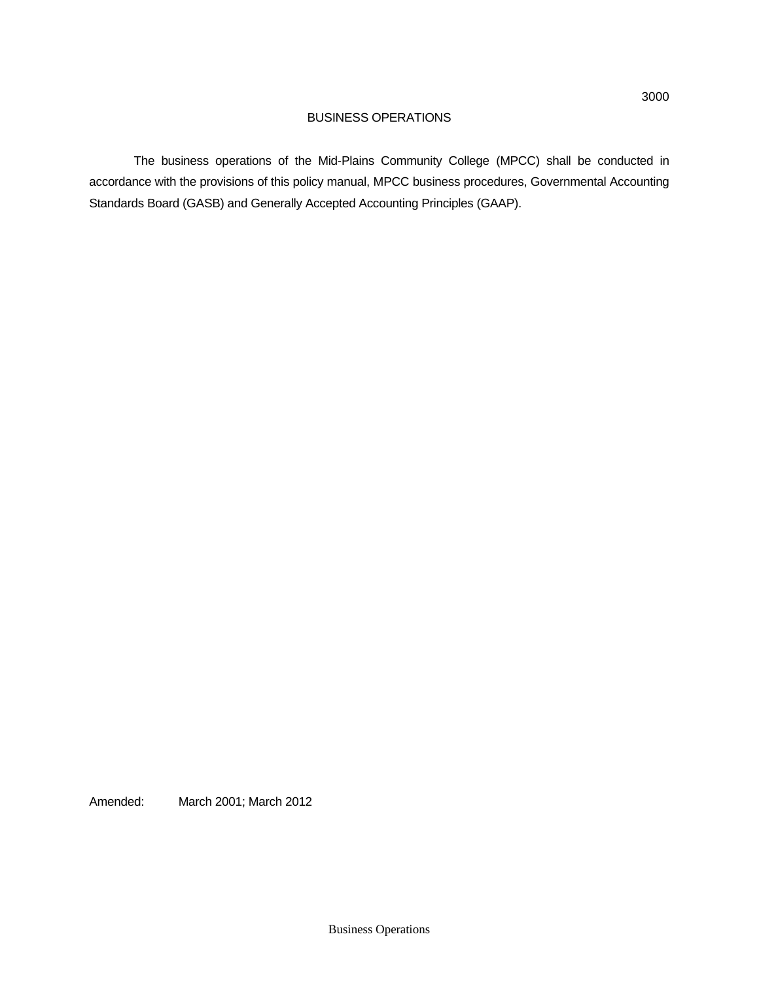The business operations of the Mid-Plains Community College (MPCC) shall be conducted in accordance with the provisions of this policy manual, MPCC business procedures, Governmental Accounting Standards Board (GASB) and Generally Accepted Accounting Principles (GAAP).

Amended: March 2001; March 2012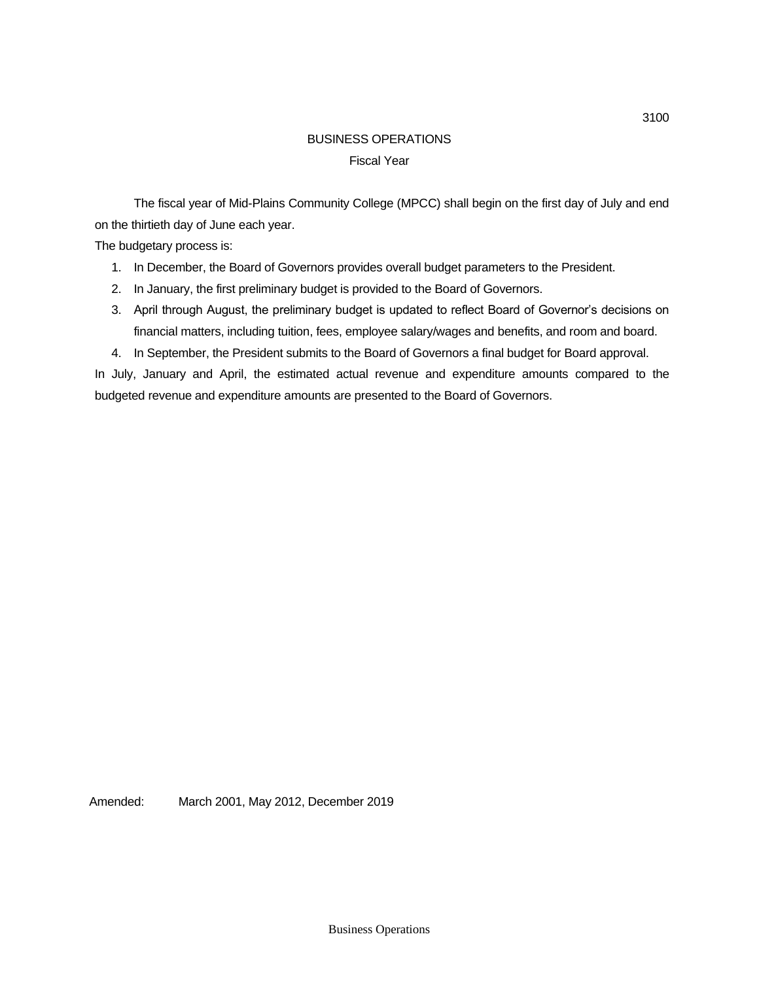# BUSINESS OPERATIONS Fiscal Year

The fiscal year of Mid-Plains Community College (MPCC) shall begin on the first day of July and end on the thirtieth day of June each year.

The budgetary process is:

- 1. In December, the Board of Governors provides overall budget parameters to the President.
- 2. In January, the first preliminary budget is provided to the Board of Governors.
- 3. April through August, the preliminary budget is updated to reflect Board of Governor's decisions on financial matters, including tuition, fees, employee salary/wages and benefits, and room and board.
- 4. In September, the President submits to the Board of Governors a final budget for Board approval.

In July, January and April, the estimated actual revenue and expenditure amounts compared to the budgeted revenue and expenditure amounts are presented to the Board of Governors.

Amended: March 2001, May 2012, December 2019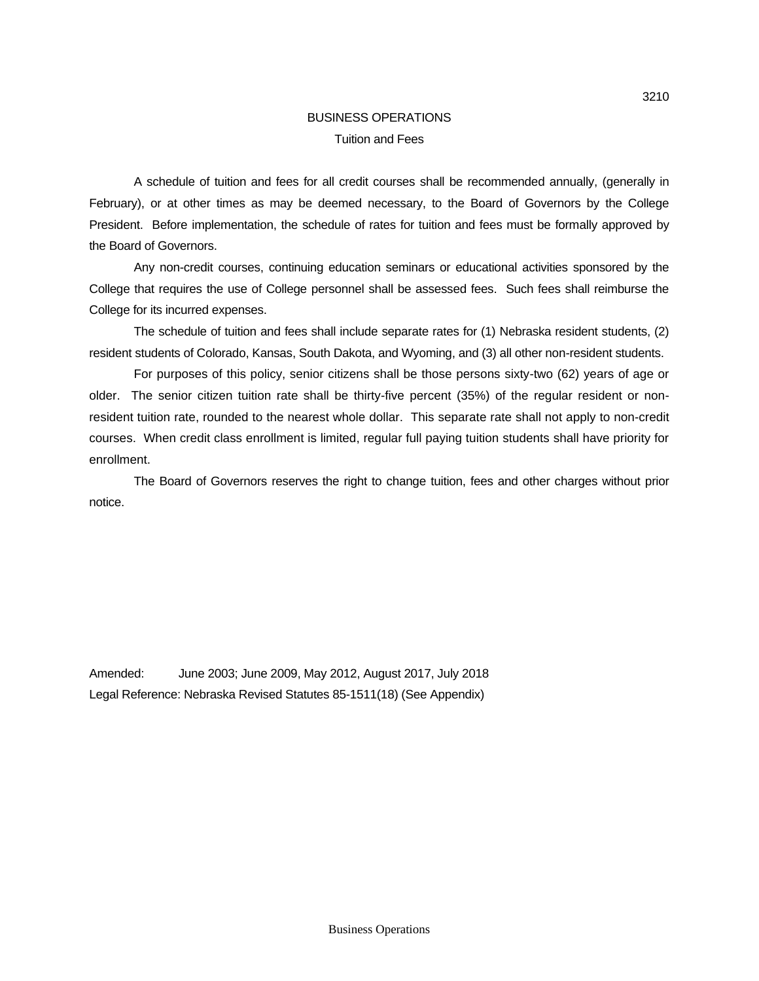## BUSINESS OPERATIONS Tuition and Fees

A schedule of tuition and fees for all credit courses shall be recommended annually, (generally in February), or at other times as may be deemed necessary, to the Board of Governors by the College President. Before implementation, the schedule of rates for tuition and fees must be formally approved by the Board of Governors.

Any non-credit courses, continuing education seminars or educational activities sponsored by the College that requires the use of College personnel shall be assessed fees. Such fees shall reimburse the College for its incurred expenses.

The schedule of tuition and fees shall include separate rates for (1) Nebraska resident students, (2) resident students of Colorado, Kansas, South Dakota, and Wyoming, and (3) all other non-resident students.

For purposes of this policy, senior citizens shall be those persons sixty-two (62) years of age or older. The senior citizen tuition rate shall be thirty-five percent (35%) of the regular resident or nonresident tuition rate, rounded to the nearest whole dollar. This separate rate shall not apply to non-credit courses. When credit class enrollment is limited, regular full paying tuition students shall have priority for enrollment.

The Board of Governors reserves the right to change tuition, fees and other charges without prior notice.

Amended: June 2003; June 2009, May 2012, August 2017, July 2018 Legal Reference: Nebraska Revised Statutes 85-1511(18) (See Appendix)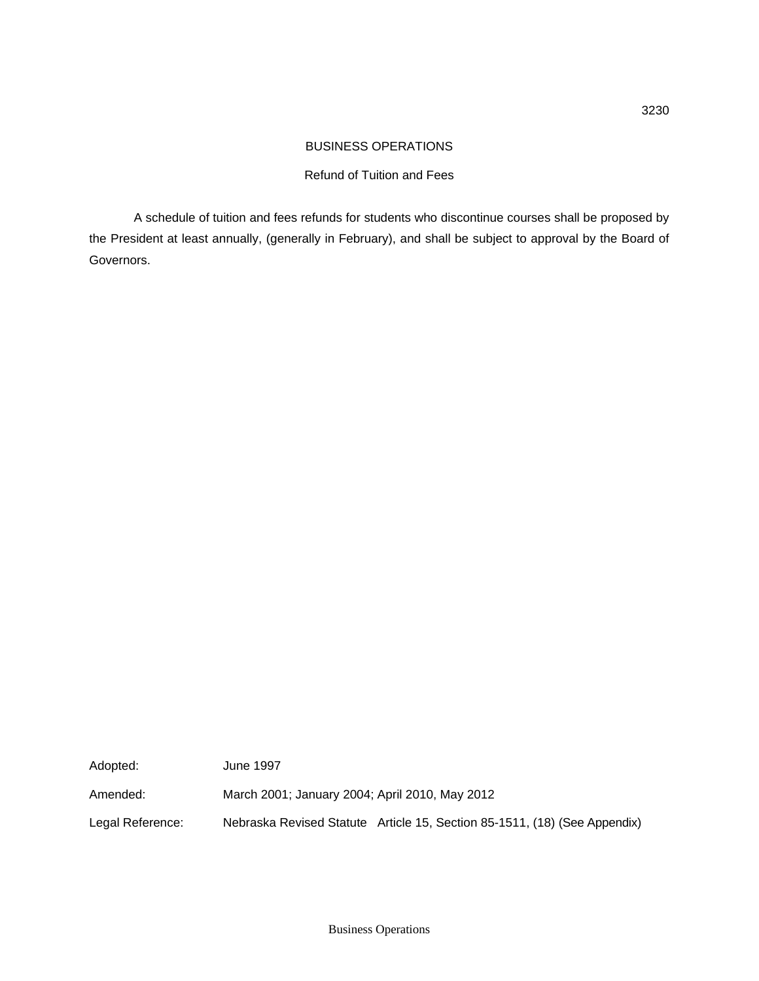### Refund of Tuition and Fees

A schedule of tuition and fees refunds for students who discontinue courses shall be proposed by the President at least annually, (generally in February), and shall be subject to approval by the Board of Governors.

Adopted: June 1997 Amended: March 2001; January 2004; April 2010, May 2012 Legal Reference: Nebraska Revised Statute Article 15, Section 85-1511, (18) (See Appendix)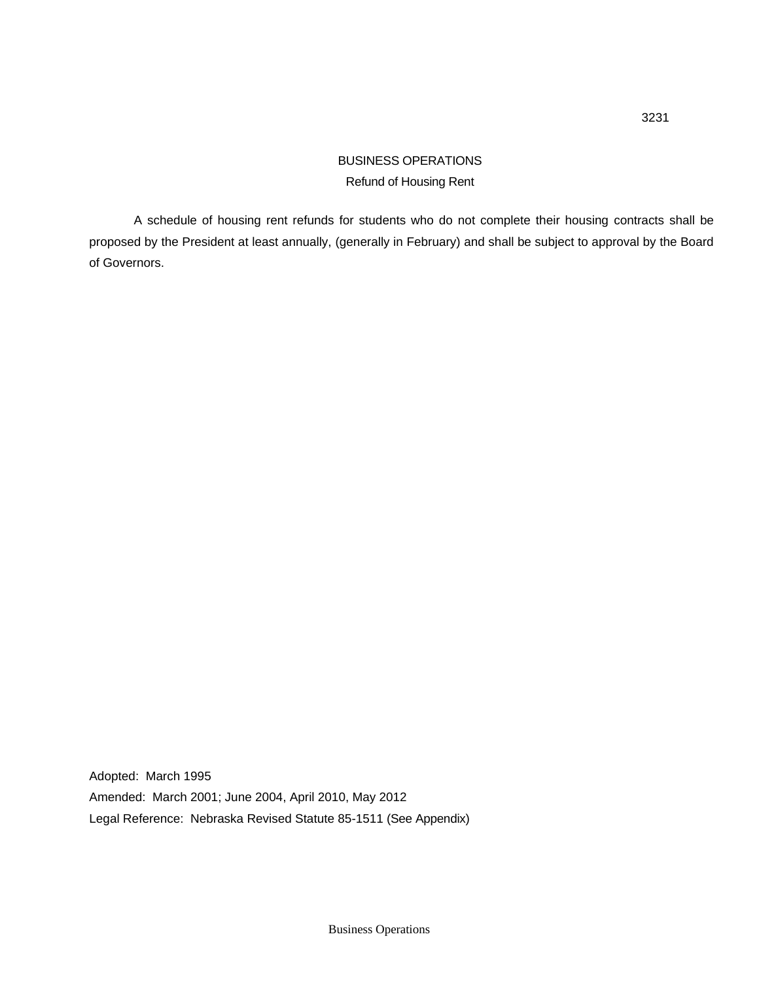# BUSINESS OPERATIONS Refund of Housing Rent

A schedule of housing rent refunds for students who do not complete their housing contracts shall be proposed by the President at least annually, (generally in February) and shall be subject to approval by the Board of Governors.

Adopted: March 1995 Amended: March 2001; June 2004, April 2010, May 2012 Legal Reference: Nebraska Revised Statute 85-1511 (See Appendix)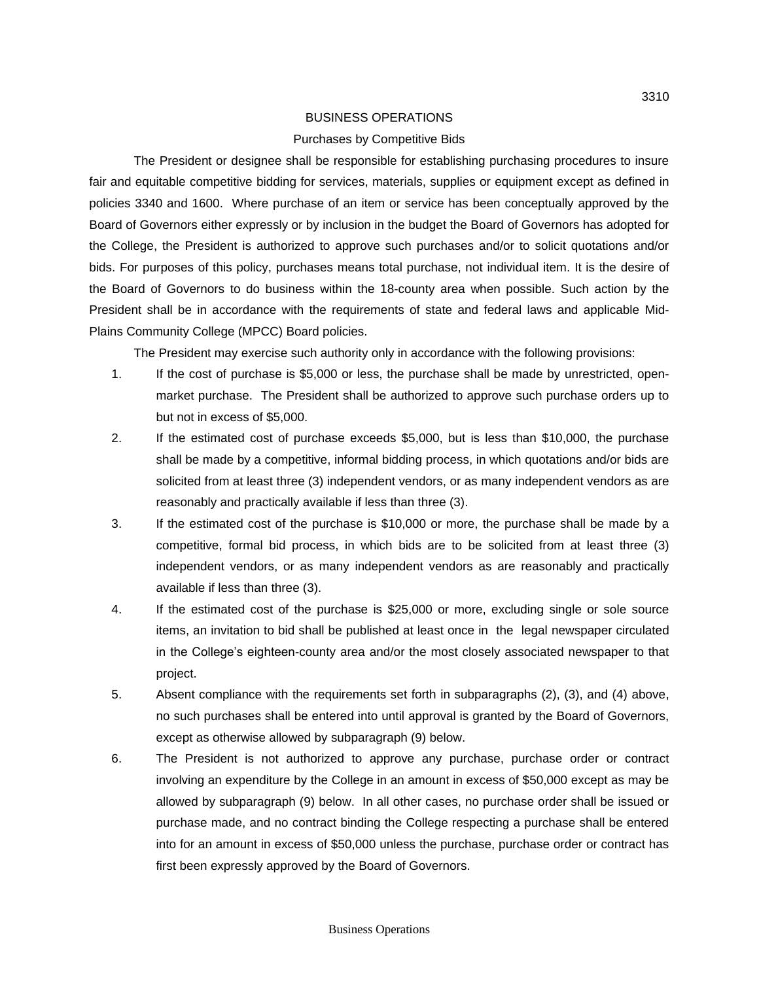#### Purchases by Competitive Bids

The President or designee shall be responsible for establishing purchasing procedures to insure fair and equitable competitive bidding for services, materials, supplies or equipment except as defined in policies 3340 and 1600. Where purchase of an item or service has been conceptually approved by the Board of Governors either expressly or by inclusion in the budget the Board of Governors has adopted for the College, the President is authorized to approve such purchases and/or to solicit quotations and/or bids. For purposes of this policy, purchases means total purchase, not individual item. It is the desire of the Board of Governors to do business within the 18-county area when possible. Such action by the President shall be in accordance with the requirements of state and federal laws and applicable Mid-Plains Community College (MPCC) Board policies.

The President may exercise such authority only in accordance with the following provisions:

- 1. If the cost of purchase is \$5,000 or less, the purchase shall be made by unrestricted, openmarket purchase. The President shall be authorized to approve such purchase orders up to but not in excess of \$5,000.
- 2. If the estimated cost of purchase exceeds \$5,000, but is less than \$10,000, the purchase shall be made by a competitive, informal bidding process, in which quotations and/or bids are solicited from at least three (3) independent vendors, or as many independent vendors as are reasonably and practically available if less than three (3).
- 3. If the estimated cost of the purchase is \$10,000 or more, the purchase shall be made by a competitive, formal bid process, in which bids are to be solicited from at least three (3) independent vendors, or as many independent vendors as are reasonably and practically available if less than three (3).
- 4. If the estimated cost of the purchase is \$25,000 or more, excluding single or sole source items, an invitation to bid shall be published at least once in the legal newspaper circulated in the College's eighteen-county area and/or the most closely associated newspaper to that project.
- 5. Absent compliance with the requirements set forth in subparagraphs (2), (3), and (4) above, no such purchases shall be entered into until approval is granted by the Board of Governors, except as otherwise allowed by subparagraph (9) below.
- 6. The President is not authorized to approve any purchase, purchase order or contract involving an expenditure by the College in an amount in excess of \$50,000 except as may be allowed by subparagraph (9) below. In all other cases, no purchase order shall be issued or purchase made, and no contract binding the College respecting a purchase shall be entered into for an amount in excess of \$50,000 unless the purchase, purchase order or contract has first been expressly approved by the Board of Governors.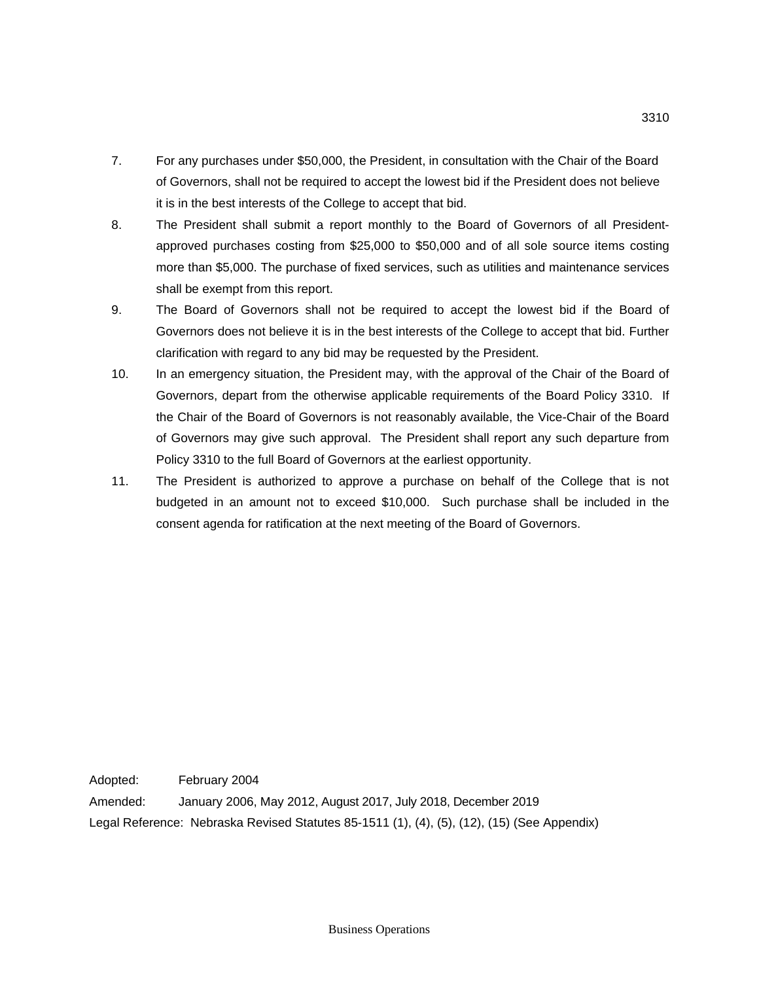- 7. For any purchases under \$50,000, the President, in consultation with the Chair of the Board of Governors, shall not be required to accept the lowest bid if the President does not believe it is in the best interests of the College to accept that bid.
- 8. The President shall submit a report monthly to the Board of Governors of all Presidentapproved purchases costing from \$25,000 to \$50,000 and of all sole source items costing more than \$5,000. The purchase of fixed services, such as utilities and maintenance services shall be exempt from this report.
- 9. The Board of Governors shall not be required to accept the lowest bid if the Board of Governors does not believe it is in the best interests of the College to accept that bid. Further clarification with regard to any bid may be requested by the President.
- 10. In an emergency situation, the President may, with the approval of the Chair of the Board of Governors, depart from the otherwise applicable requirements of the Board Policy 3310. If the Chair of the Board of Governors is not reasonably available, the Vice-Chair of the Board of Governors may give such approval. The President shall report any such departure from Policy 3310 to the full Board of Governors at the earliest opportunity.
- 11. The President is authorized to approve a purchase on behalf of the College that is not budgeted in an amount not to exceed \$10,000. Such purchase shall be included in the consent agenda for ratification at the next meeting of the Board of Governors.

Adopted: February 2004 Amended: January 2006, May 2012, August 2017, July 2018, December 2019 Legal Reference: Nebraska Revised Statutes 85-1511 (1), (4), (5), (12), (15) (See Appendix)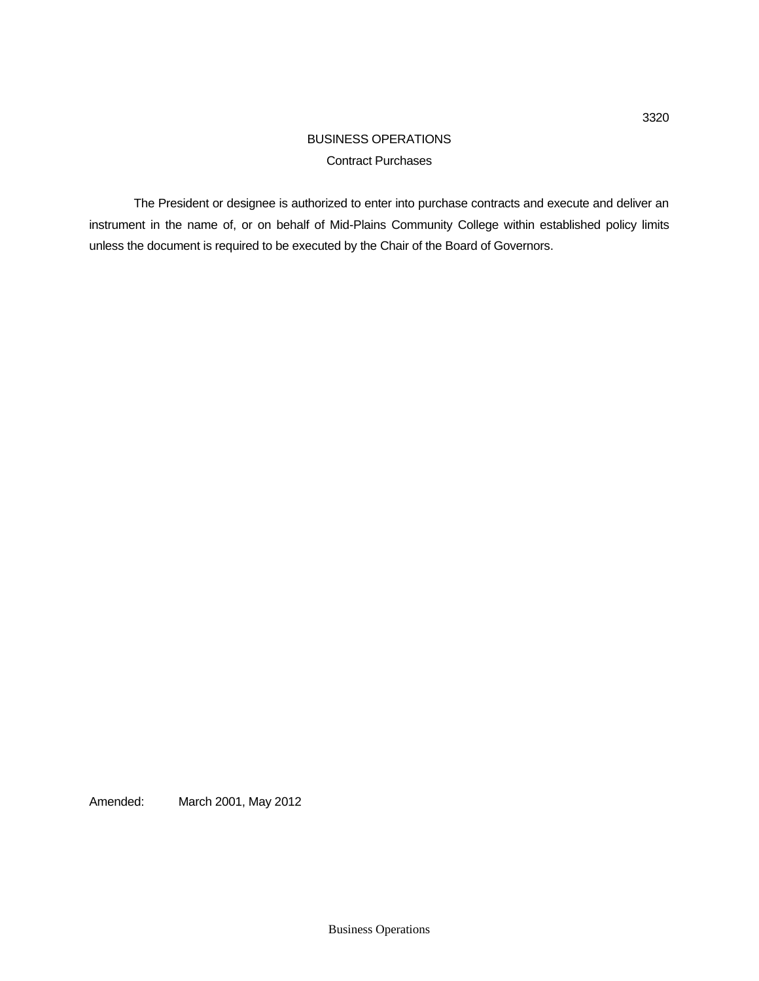## BUSINESS OPERATIONS Contract Purchases

The President or designee is authorized to enter into purchase contracts and execute and deliver an instrument in the name of, or on behalf of Mid-Plains Community College within established policy limits unless the document is required to be executed by the Chair of the Board of Governors.

Amended: March 2001, May 2012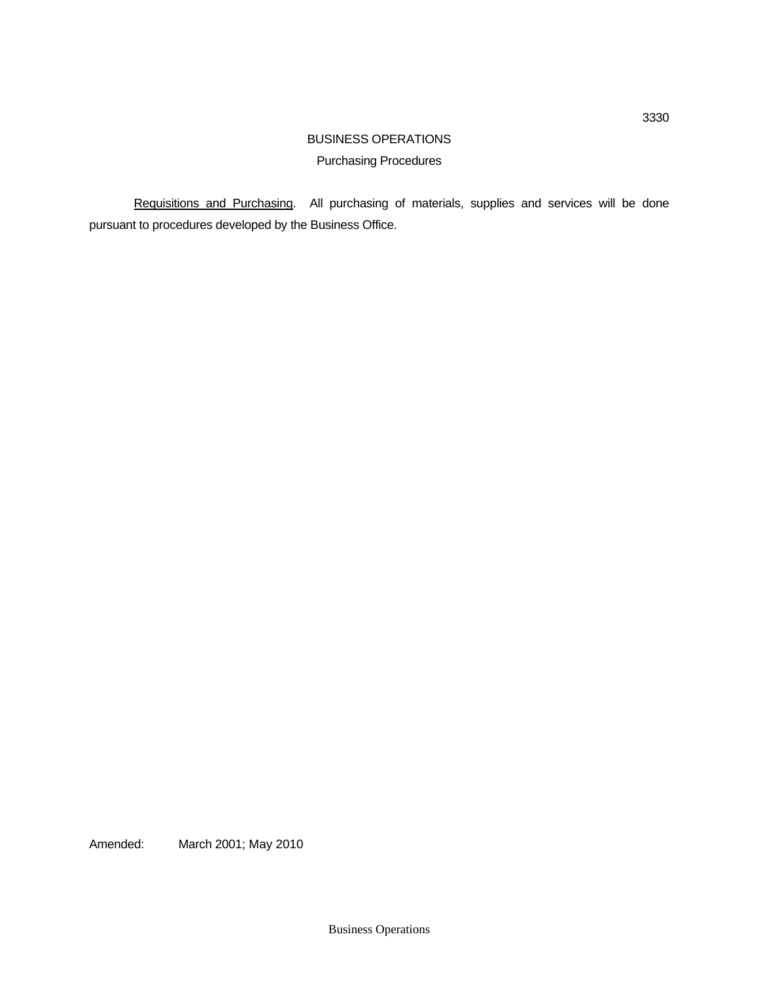# BUSINESS OPERATIONS Purchasing Procedures

Requisitions and Purchasing. All purchasing of materials, supplies and services will be done pursuant to procedures developed by the Business Office.

Amended: March 2001; May 2010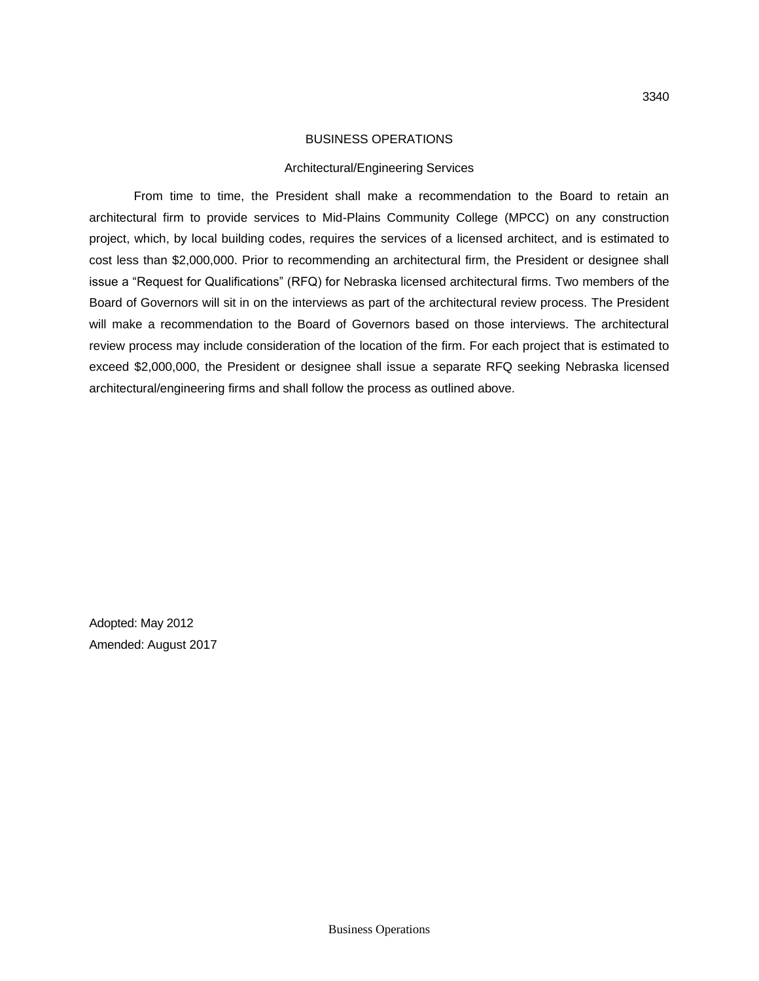#### Architectural/Engineering Services

From time to time, the President shall make a recommendation to the Board to retain an architectural firm to provide services to Mid-Plains Community College (MPCC) on any construction project, which, by local building codes, requires the services of a licensed architect, and is estimated to cost less than \$2,000,000. Prior to recommending an architectural firm, the President or designee shall issue a "Request for Qualifications" (RFQ) for Nebraska licensed architectural firms. Two members of the Board of Governors will sit in on the interviews as part of the architectural review process. The President will make a recommendation to the Board of Governors based on those interviews. The architectural review process may include consideration of the location of the firm. For each project that is estimated to exceed \$2,000,000, the President or designee shall issue a separate RFQ seeking Nebraska licensed architectural/engineering firms and shall follow the process as outlined above.

Adopted: May 2012 Amended: August 2017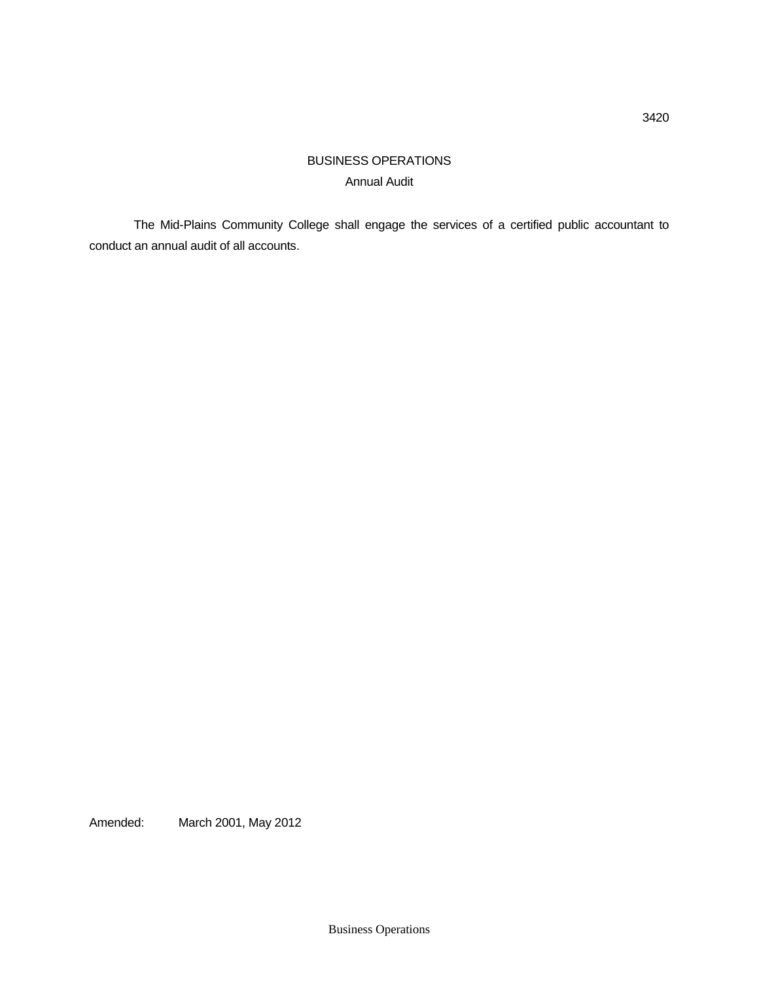# BUSINESS OPERATIONS Annual Audit

The Mid-Plains Community College shall engage the services of a certified public accountant to conduct an annual audit of all accounts.

Amended: March 2001, May 2012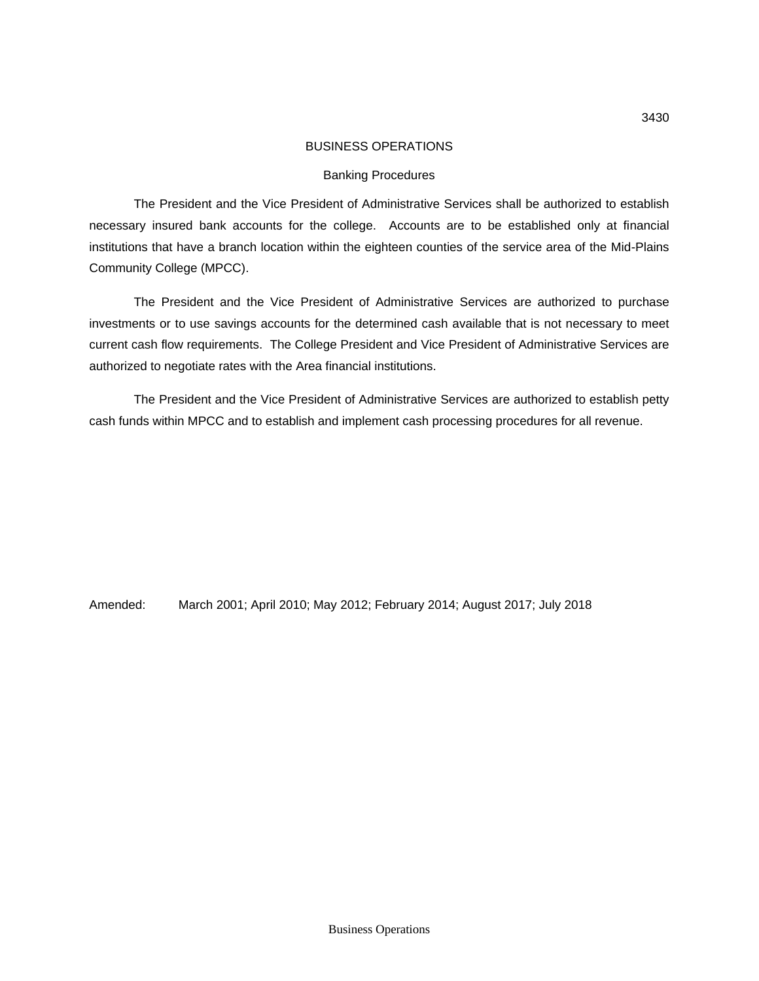#### Banking Procedures

The President and the Vice President of Administrative Services shall be authorized to establish necessary insured bank accounts for the college. Accounts are to be established only at financial institutions that have a branch location within the eighteen counties of the service area of the Mid-Plains Community College (MPCC).

The President and the Vice President of Administrative Services are authorized to purchase investments or to use savings accounts for the determined cash available that is not necessary to meet current cash flow requirements. The College President and Vice President of Administrative Services are authorized to negotiate rates with the Area financial institutions.

The President and the Vice President of Administrative Services are authorized to establish petty cash funds within MPCC and to establish and implement cash processing procedures for all revenue.

Amended: March 2001; April 2010; May 2012; February 2014; August 2017; July 2018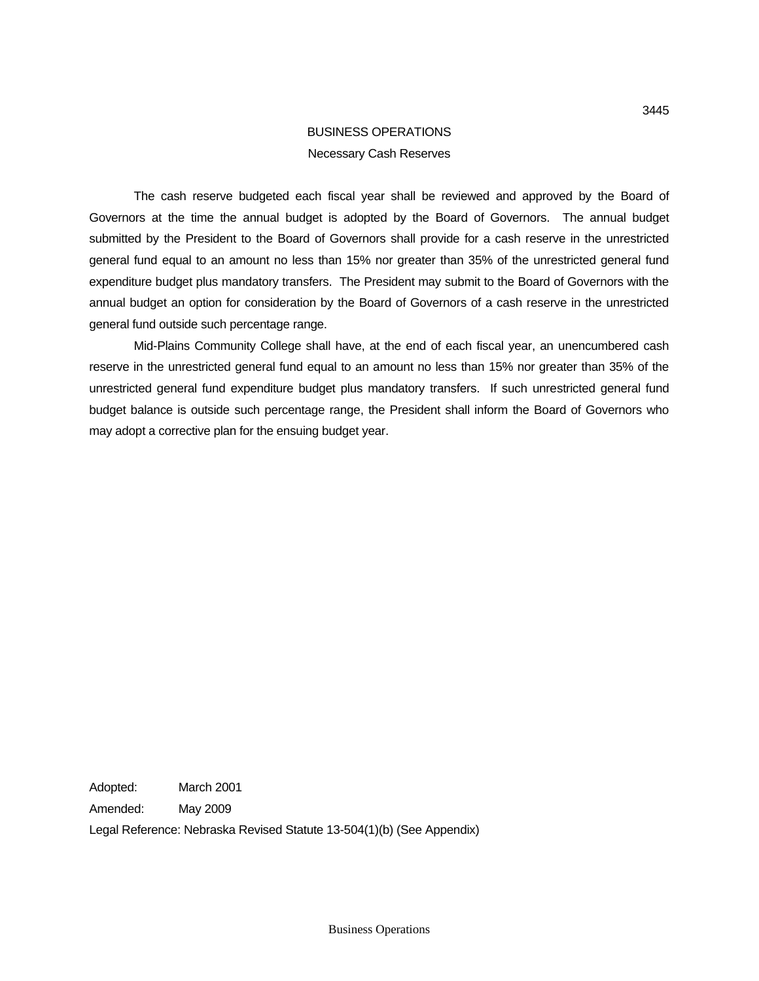# BUSINESS OPERATIONS Necessary Cash Reserves

The cash reserve budgeted each fiscal year shall be reviewed and approved by the Board of Governors at the time the annual budget is adopted by the Board of Governors. The annual budget submitted by the President to the Board of Governors shall provide for a cash reserve in the unrestricted general fund equal to an amount no less than 15% nor greater than 35% of the unrestricted general fund expenditure budget plus mandatory transfers. The President may submit to the Board of Governors with the annual budget an option for consideration by the Board of Governors of a cash reserve in the unrestricted general fund outside such percentage range.

Mid-Plains Community College shall have, at the end of each fiscal year, an unencumbered cash reserve in the unrestricted general fund equal to an amount no less than 15% nor greater than 35% of the unrestricted general fund expenditure budget plus mandatory transfers. If such unrestricted general fund budget balance is outside such percentage range, the President shall inform the Board of Governors who may adopt a corrective plan for the ensuing budget year.

Adopted: March 2001

Amended: May 2009

Legal Reference: Nebraska Revised Statute 13-504(1)(b) (See Appendix)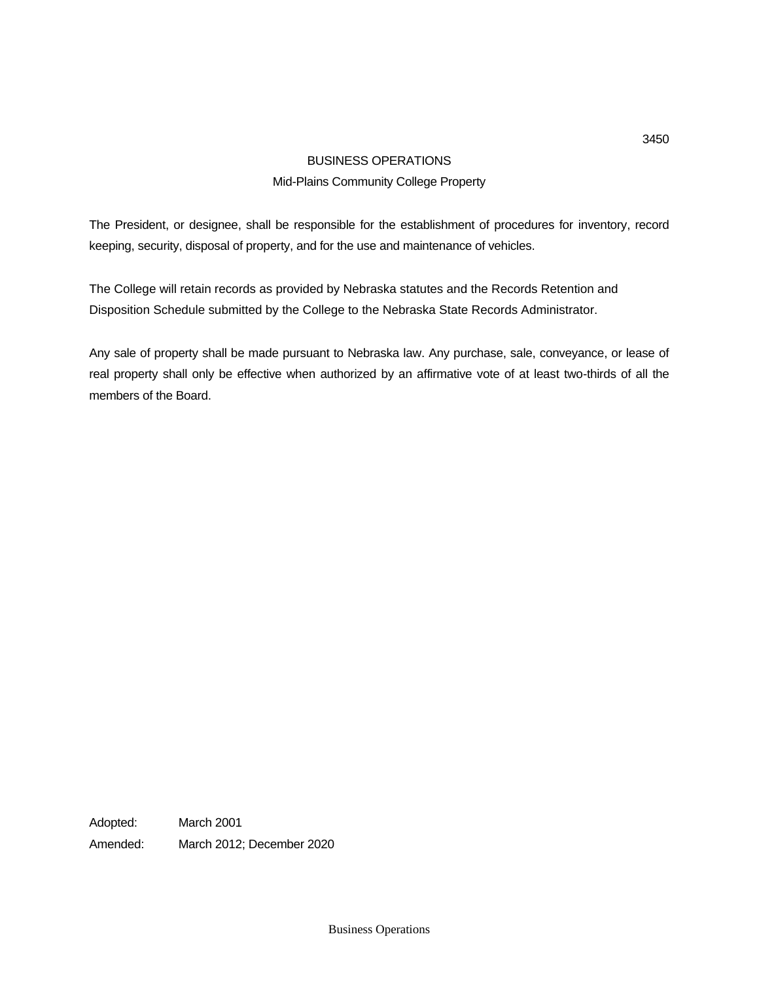### Mid-Plains Community College Property

The President, or designee, shall be responsible for the establishment of procedures for inventory, record keeping, security, disposal of property, and for the use and maintenance of vehicles.

The College will retain records as provided by Nebraska statutes and the Records Retention and Disposition Schedule submitted by the College to the Nebraska State Records Administrator.

Any sale of property shall be made pursuant to Nebraska law. Any purchase, sale, conveyance, or lease of real property shall only be effective when authorized by an affirmative vote of at least two-thirds of all the members of the Board.

Adopted: March 2001 Amended: March 2012; December 2020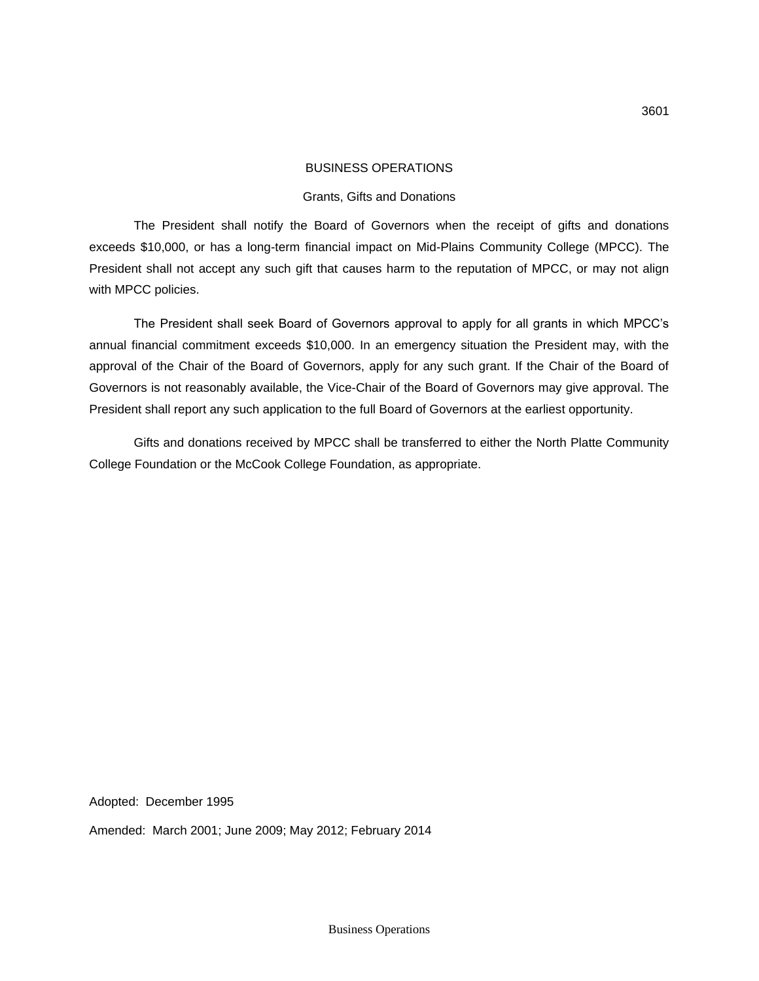#### Grants, Gifts and Donations

The President shall notify the Board of Governors when the receipt of gifts and donations exceeds \$10,000, or has a long-term financial impact on Mid-Plains Community College (MPCC). The President shall not accept any such gift that causes harm to the reputation of MPCC, or may not align with MPCC policies.

The President shall seek Board of Governors approval to apply for all grants in which MPCC's annual financial commitment exceeds \$10,000. In an emergency situation the President may, with the approval of the Chair of the Board of Governors, apply for any such grant. If the Chair of the Board of Governors is not reasonably available, the Vice-Chair of the Board of Governors may give approval. The President shall report any such application to the full Board of Governors at the earliest opportunity.

Gifts and donations received by MPCC shall be transferred to either the North Platte Community College Foundation or the McCook College Foundation, as appropriate.

Adopted: December 1995

Amended: March 2001; June 2009; May 2012; February 2014